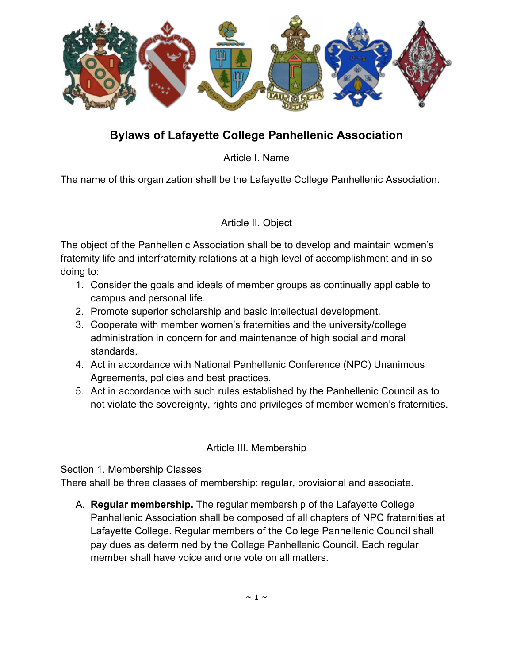

# **Bylaws of Lafayette College Panhellenic Association**

Article I. Name

The name of this organization shall be the Lafayette College Panhellenic Association.

Article II. Object

The object of the Panhellenic Association shall be to develop and maintain women's fraternity life and interfraternity relations at a high level of accomplishment and in so doing to:

- 1. Consider the goals and ideals of member groups as continually applicable to campus and personal life.
- 2. Promote superior scholarship and basic intellectual development.
- 3. Cooperate with member women's fraternities and the university/college administration in concern for and maintenance of high social and moral standards.
- 4. Act in accordance with National Panhellenic Conference (NPC) Unanimous Agreements, policies and best practices.
- 5. Act in accordance with such rules established by the Panhellenic Council as to not violate the sovereignty, rights and privileges of member women's fraternities.

### Article III. Membership

Section 1. Membership Classes

There shall be three classes of membership: regular, provisional and associate.

A. **Regular membership.** The regular membership of the Lafayette College Panhellenic Association shall be composed of all chapters of NPC fraternities at Lafayette College. Regular members of the College Panhellenic Council shall pay dues as determined by the College Panhellenic Council. Each regular member shall have voice and one vote on all matters.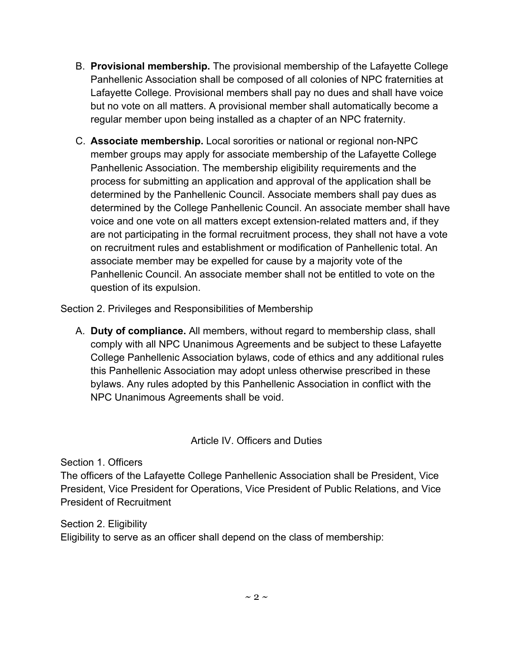- B. **Provisional membership.** The provisional membership of the Lafayette College Panhellenic Association shall be composed of all colonies of NPC fraternities at Lafayette College. Provisional members shall pay no dues and shall have voice but no vote on all matters. A provisional member shall automatically become a regular member upon being installed as a chapter of an NPC fraternity.
- C. **Associate membership.** Local sororities or national or regional non-NPC member groups may apply for associate membership of the Lafayette College Panhellenic Association. The membership eligibility requirements and the process for submitting an application and approval of the application shall be determined by the Panhellenic Council. Associate members shall pay dues as determined by the College Panhellenic Council. An associate member shall have voice and one vote on all matters except extension-related matters and, if they are not participating in the formal recruitment process, they shall not have a vote on recruitment rules and establishment or modification of Panhellenic total. An associate member may be expelled for cause by a majority vote of the Panhellenic Council. An associate member shall not be entitled to vote on the question of its expulsion.

Section 2. Privileges and Responsibilities of Membership

A. **Duty of compliance.** All members, without regard to membership class, shall comply with all NPC Unanimous Agreements and be subject to these Lafayette College Panhellenic Association bylaws, code of ethics and any additional rules this Panhellenic Association may adopt unless otherwise prescribed in these bylaws. Any rules adopted by this Panhellenic Association in conflict with the NPC Unanimous Agreements shall be void.

### Article IV. Officers and Duties

Section 1. Officers

The officers of the Lafayette College Panhellenic Association shall be President, Vice President, Vice President for Operations, Vice President of Public Relations, and Vice President of Recruitment

Section 2. Eligibility Eligibility to serve as an officer shall depend on the class of membership: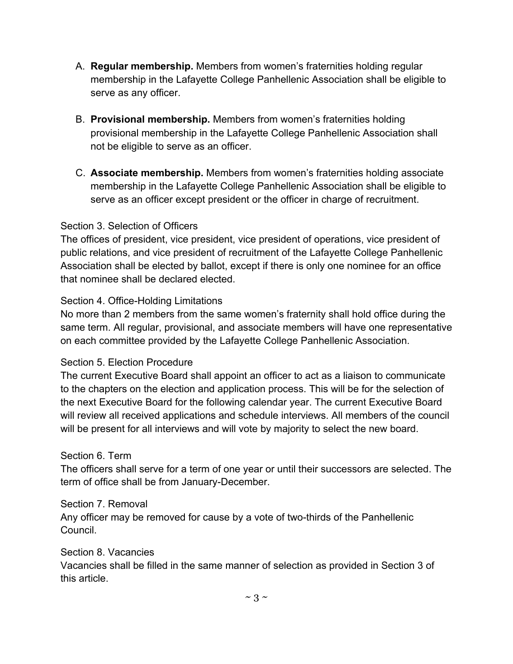- A. **Regular membership.** Members from women's fraternities holding regular membership in the Lafayette College Panhellenic Association shall be eligible to serve as any officer.
- B. **Provisional membership.** Members from women's fraternities holding provisional membership in the Lafayette College Panhellenic Association shall not be eligible to serve as an officer.
- C. **Associate membership.** Members from women's fraternities holding associate membership in the Lafayette College Panhellenic Association shall be eligible to serve as an officer except president or the officer in charge of recruitment.

#### Section 3. Selection of Officers

The offices of president, vice president, vice president of operations, vice president of public relations, and vice president of recruitment of the Lafayette College Panhellenic Association shall be elected by ballot, except if there is only one nominee for an office that nominee shall be declared elected.

#### Section 4. Office-Holding Limitations

No more than 2 members from the same women's fraternity shall hold office during the same term. All regular, provisional, and associate members will have one representative on each committee provided by the Lafayette College Panhellenic Association.

#### Section 5. Election Procedure

The current Executive Board shall appoint an officer to act as a liaison to communicate to the chapters on the election and application process. This will be for the selection of the next Executive Board for the following calendar year. The current Executive Board will review all received applications and schedule interviews. All members of the council will be present for all interviews and will vote by majority to select the new board.

### Section 6. Term

The officers shall serve for a term of one year or until their successors are selected. The term of office shall be from January-December.

#### Section 7. Removal

Any officer may be removed for cause by a vote of two-thirds of the Panhellenic Council.

#### Section 8. Vacancies

Vacancies shall be filled in the same manner of selection as provided in Section 3 of this article.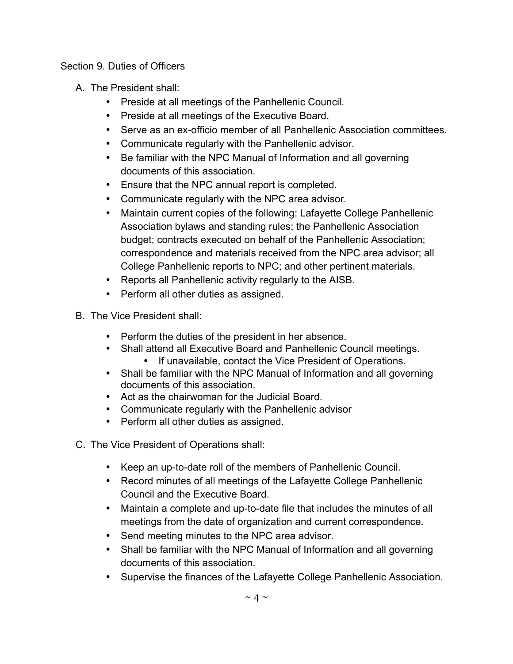#### Section 9. Duties of Officers

- A. The President shall:
	- Preside at all meetings of the Panhellenic Council.
	- Preside at all meetings of the Executive Board.
	- Serve as an ex-officio member of all Panhellenic Association committees.
	- Communicate regularly with the Panhellenic advisor.
	- Be familiar with the NPC Manual of Information and all governing documents of this association.
	- Ensure that the NPC annual report is completed.
	- Communicate regularly with the NPC area advisor.
	- Maintain current copies of the following: Lafayette College Panhellenic Association bylaws and standing rules; the Panhellenic Association budget; contracts executed on behalf of the Panhellenic Association; correspondence and materials received from the NPC area advisor; all College Panhellenic reports to NPC; and other pertinent materials.
	- Reports all Panhellenic activity regularly to the AISB.
	- Perform all other duties as assigned.
- B. The Vice President shall:
	- Perform the duties of the president in her absence.
	- Shall attend all Executive Board and Panhellenic Council meetings.
		- If unavailable, contact the Vice President of Operations.
	- Shall be familiar with the NPC Manual of Information and all governing documents of this association.
	- Act as the chairwoman for the Judicial Board.
	- Communicate regularly with the Panhellenic advisor
	- Perform all other duties as assigned.
- C. The Vice President of Operations shall:
	- Keep an up-to-date roll of the members of Panhellenic Council.
	- Record minutes of all meetings of the Lafayette College Panhellenic Council and the Executive Board.
	- Maintain a complete and up-to-date file that includes the minutes of all meetings from the date of organization and current correspondence.
	- Send meeting minutes to the NPC area advisor.
	- Shall be familiar with the NPC Manual of Information and all governing documents of this association.
	- Supervise the finances of the Lafayette College Panhellenic Association.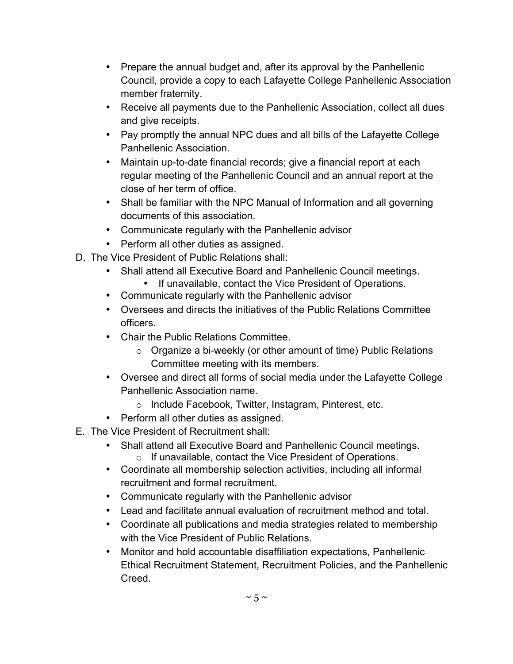- Prepare the annual budget and, after its approval by the Panhellenic Council, provide a copy to each Lafayette College Panhellenic Association member fraternity.
- Receive all payments due to the Panhellenic Association, collect all dues and give receipts.
- Pay promptly the annual NPC dues and all bills of the Lafayette College Panhellenic Association.
- Maintain up-to-date financial records; give a financial report at each regular meeting of the Panhellenic Council and an annual report at the close of her term of office.
- Shall be familiar with the NPC Manual of Information and all governing documents of this association.
- Communicate regularly with the Panhellenic advisor
- Perform all other duties as assigned.
- D. The Vice President of Public Relations shall:
	- Shall attend all Executive Board and Panhellenic Council meetings.
		- If unavailable, contact the Vice President of Operations.
	- Communicate regularly with the Panhellenic advisor
	- Oversees and directs the initiatives of the Public Relations Committee officers.
	- Chair the Public Relations Committee.
		- o Organize a bi-weekly (or other amount of time) Public Relations Committee meeting with its members.
	- Oversee and direct all forms of social media under the Lafayette College Panhellenic Association name.
		- o Include Facebook, Twitter, Instagram, Pinterest, etc.
	- Perform all other duties as assigned.
- E. The Vice President of Recruitment shall:
	- Shall attend all Executive Board and Panhellenic Council meetings. o If unavailable, contact the Vice President of Operations.
	- Coordinate all membership selection activities, including all informal recruitment and formal recruitment.
	- Communicate regularly with the Panhellenic advisor
	- Lead and facilitate annual evaluation of recruitment method and total.
	- Coordinate all publications and media strategies related to membership with the Vice President of Public Relations.
	- Monitor and hold accountable disaffiliation expectations, Panhellenic Ethical Recruitment Statement, Recruitment Policies, and the Panhellenic **Creed**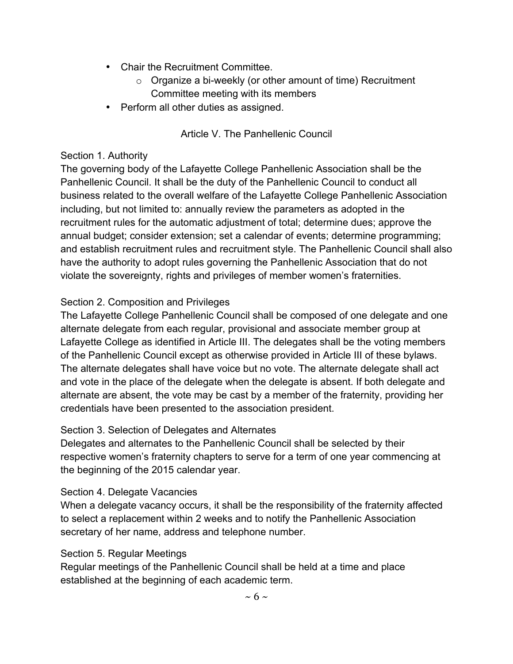- Chair the Recruitment Committee.
	- $\circ$  Organize a bi-weekly (or other amount of time) Recruitment Committee meeting with its members
- Perform all other duties as assigned.

## Article V. The Panhellenic Council

#### Section 1. Authority

The governing body of the Lafayette College Panhellenic Association shall be the Panhellenic Council. It shall be the duty of the Panhellenic Council to conduct all business related to the overall welfare of the Lafayette College Panhellenic Association including, but not limited to: annually review the parameters as adopted in the recruitment rules for the automatic adjustment of total; determine dues; approve the annual budget; consider extension; set a calendar of events; determine programming; and establish recruitment rules and recruitment style. The Panhellenic Council shall also have the authority to adopt rules governing the Panhellenic Association that do not violate the sovereignty, rights and privileges of member women's fraternities.

### Section 2. Composition and Privileges

The Lafayette College Panhellenic Council shall be composed of one delegate and one alternate delegate from each regular, provisional and associate member group at Lafayette College as identified in Article III. The delegates shall be the voting members of the Panhellenic Council except as otherwise provided in Article III of these bylaws. The alternate delegates shall have voice but no vote. The alternate delegate shall act and vote in the place of the delegate when the delegate is absent. If both delegate and alternate are absent, the vote may be cast by a member of the fraternity, providing her credentials have been presented to the association president.

#### Section 3. Selection of Delegates and Alternates

Delegates and alternates to the Panhellenic Council shall be selected by their respective women's fraternity chapters to serve for a term of one year commencing at the beginning of the 2015 calendar year.

#### Section 4. Delegate Vacancies

When a delegate vacancy occurs, it shall be the responsibility of the fraternity affected to select a replacement within 2 weeks and to notify the Panhellenic Association secretary of her name, address and telephone number.

#### Section 5. Regular Meetings

Regular meetings of the Panhellenic Council shall be held at a time and place established at the beginning of each academic term.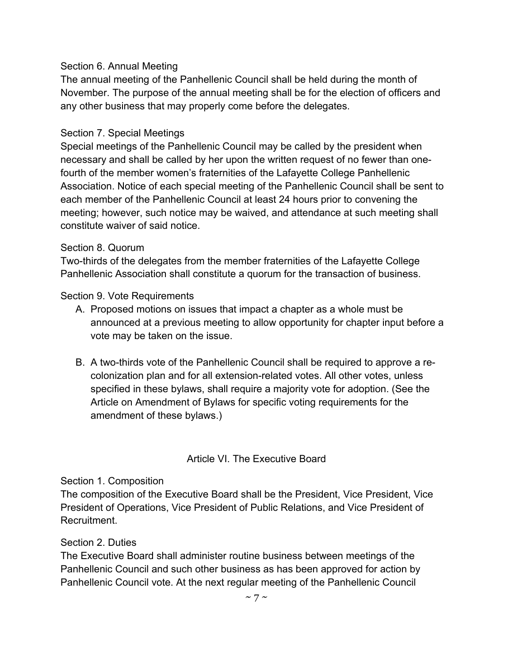#### Section 6. Annual Meeting

The annual meeting of the Panhellenic Council shall be held during the month of November. The purpose of the annual meeting shall be for the election of officers and any other business that may properly come before the delegates.

#### Section 7. Special Meetings

Special meetings of the Panhellenic Council may be called by the president when necessary and shall be called by her upon the written request of no fewer than onefourth of the member women's fraternities of the Lafayette College Panhellenic Association. Notice of each special meeting of the Panhellenic Council shall be sent to each member of the Panhellenic Council at least 24 hours prior to convening the meeting; however, such notice may be waived, and attendance at such meeting shall constitute waiver of said notice.

#### Section 8. Quorum

Two-thirds of the delegates from the member fraternities of the Lafayette College Panhellenic Association shall constitute a quorum for the transaction of business.

Section 9. Vote Requirements

- A. Proposed motions on issues that impact a chapter as a whole must be announced at a previous meeting to allow opportunity for chapter input before a vote may be taken on the issue.
- B. A two-thirds vote of the Panhellenic Council shall be required to approve a recolonization plan and for all extension-related votes. All other votes, unless specified in these bylaws, shall require a majority vote for adoption. (See the Article on Amendment of Bylaws for specific voting requirements for the amendment of these bylaws.)

### Article VI. The Executive Board

#### Section 1. Composition

The composition of the Executive Board shall be the President, Vice President, Vice President of Operations, Vice President of Public Relations, and Vice President of **Recruitment** 

#### Section 2. Duties

The Executive Board shall administer routine business between meetings of the Panhellenic Council and such other business as has been approved for action by Panhellenic Council vote. At the next regular meeting of the Panhellenic Council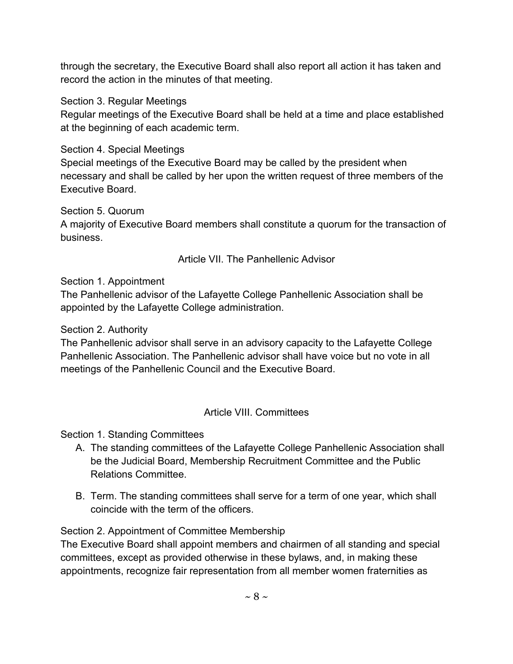through the secretary, the Executive Board shall also report all action it has taken and record the action in the minutes of that meeting.

Section 3. Regular Meetings

Regular meetings of the Executive Board shall be held at a time and place established at the beginning of each academic term.

Section 4. Special Meetings

Special meetings of the Executive Board may be called by the president when necessary and shall be called by her upon the written request of three members of the Executive Board.

Section 5. Quorum

A majority of Executive Board members shall constitute a quorum for the transaction of business.

Article VII. The Panhellenic Advisor

Section 1. Appointment

The Panhellenic advisor of the Lafayette College Panhellenic Association shall be appointed by the Lafayette College administration.

Section 2. Authority

The Panhellenic advisor shall serve in an advisory capacity to the Lafayette College Panhellenic Association. The Panhellenic advisor shall have voice but no vote in all meetings of the Panhellenic Council and the Executive Board.

## Article VIII. Committees

Section 1. Standing Committees

- A. The standing committees of the Lafayette College Panhellenic Association shall be the Judicial Board, Membership Recruitment Committee and the Public Relations Committee.
- B. Term. The standing committees shall serve for a term of one year, which shall coincide with the term of the officers.

Section 2. Appointment of Committee Membership

The Executive Board shall appoint members and chairmen of all standing and special committees, except as provided otherwise in these bylaws, and, in making these appointments, recognize fair representation from all member women fraternities as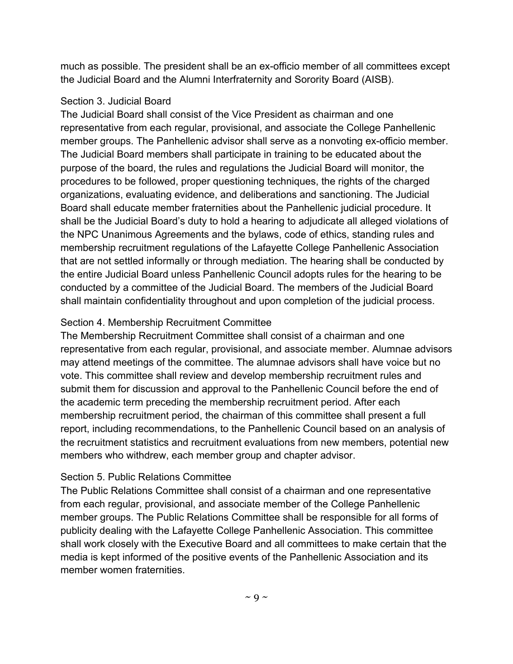much as possible. The president shall be an ex-officio member of all committees except the Judicial Board and the Alumni Interfraternity and Sorority Board (AISB).

#### Section 3. Judicial Board

The Judicial Board shall consist of the Vice President as chairman and one representative from each regular, provisional, and associate the College Panhellenic member groups. The Panhellenic advisor shall serve as a nonvoting ex-officio member. The Judicial Board members shall participate in training to be educated about the purpose of the board, the rules and regulations the Judicial Board will monitor, the procedures to be followed, proper questioning techniques, the rights of the charged organizations, evaluating evidence, and deliberations and sanctioning. The Judicial Board shall educate member fraternities about the Panhellenic judicial procedure. It shall be the Judicial Board's duty to hold a hearing to adjudicate all alleged violations of the NPC Unanimous Agreements and the bylaws, code of ethics, standing rules and membership recruitment regulations of the Lafayette College Panhellenic Association that are not settled informally or through mediation. The hearing shall be conducted by the entire Judicial Board unless Panhellenic Council adopts rules for the hearing to be conducted by a committee of the Judicial Board. The members of the Judicial Board shall maintain confidentiality throughout and upon completion of the judicial process.

### Section 4. Membership Recruitment Committee

The Membership Recruitment Committee shall consist of a chairman and one representative from each regular, provisional, and associate member. Alumnae advisors may attend meetings of the committee. The alumnae advisors shall have voice but no vote. This committee shall review and develop membership recruitment rules and submit them for discussion and approval to the Panhellenic Council before the end of the academic term preceding the membership recruitment period. After each membership recruitment period, the chairman of this committee shall present a full report, including recommendations, to the Panhellenic Council based on an analysis of the recruitment statistics and recruitment evaluations from new members, potential new members who withdrew, each member group and chapter advisor.

## Section 5. Public Relations Committee

The Public Relations Committee shall consist of a chairman and one representative from each regular, provisional, and associate member of the College Panhellenic member groups. The Public Relations Committee shall be responsible for all forms of publicity dealing with the Lafayette College Panhellenic Association. This committee shall work closely with the Executive Board and all committees to make certain that the media is kept informed of the positive events of the Panhellenic Association and its member women fraternities.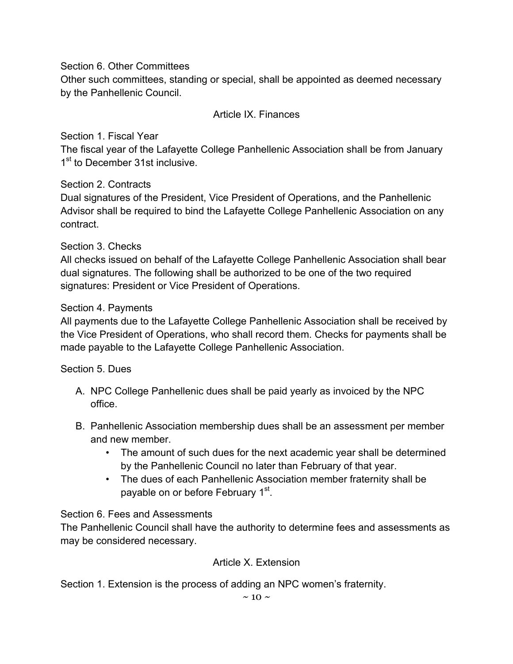Section 6. Other Committees

Other such committees, standing or special, shall be appointed as deemed necessary by the Panhellenic Council.

## Article IX. Finances

Section 1. Fiscal Year

The fiscal year of the Lafayette College Panhellenic Association shall be from January 1<sup>st</sup> to December 31st inclusive.

Section 2. Contracts

Dual signatures of the President, Vice President of Operations, and the Panhellenic Advisor shall be required to bind the Lafayette College Panhellenic Association on any contract.

## Section 3. Checks

All checks issued on behalf of the Lafayette College Panhellenic Association shall bear dual signatures. The following shall be authorized to be one of the two required signatures: President or Vice President of Operations.

## Section 4. Payments

All payments due to the Lafayette College Panhellenic Association shall be received by the Vice President of Operations, who shall record them. Checks for payments shall be made payable to the Lafayette College Panhellenic Association.

Section 5. Dues

- A. NPC College Panhellenic dues shall be paid yearly as invoiced by the NPC office.
- B. Panhellenic Association membership dues shall be an assessment per member and new member.
	- The amount of such dues for the next academic year shall be determined by the Panhellenic Council no later than February of that year.
	- The dues of each Panhellenic Association member fraternity shall be payable on or before February 1<sup>st</sup>.

## Section 6. Fees and Assessments

The Panhellenic Council shall have the authority to determine fees and assessments as may be considered necessary.

## Article X. Extension

Section 1. Extension is the process of adding an NPC women's fraternity.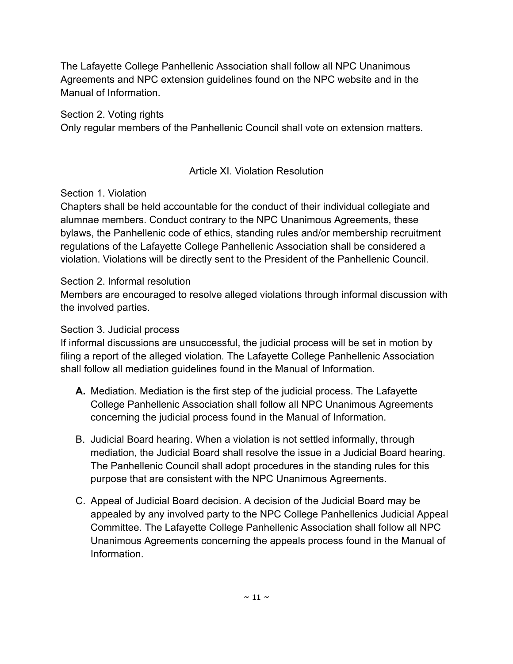The Lafayette College Panhellenic Association shall follow all NPC Unanimous Agreements and NPC extension guidelines found on the NPC website and in the Manual of Information.

Section 2. Voting rights

Only regular members of the Panhellenic Council shall vote on extension matters.

## Article XI. Violation Resolution

## Section 1. Violation

Chapters shall be held accountable for the conduct of their individual collegiate and alumnae members. Conduct contrary to the NPC Unanimous Agreements, these bylaws, the Panhellenic code of ethics, standing rules and/or membership recruitment regulations of the Lafayette College Panhellenic Association shall be considered a violation. Violations will be directly sent to the President of the Panhellenic Council.

## Section 2. Informal resolution

Members are encouraged to resolve alleged violations through informal discussion with the involved parties.

## Section 3. Judicial process

If informal discussions are unsuccessful, the judicial process will be set in motion by filing a report of the alleged violation. The Lafayette College Panhellenic Association shall follow all mediation guidelines found in the Manual of Information.

- **A.** Mediation. Mediation is the first step of the judicial process. The Lafayette College Panhellenic Association shall follow all NPC Unanimous Agreements concerning the judicial process found in the Manual of Information.
- B. Judicial Board hearing. When a violation is not settled informally, through mediation, the Judicial Board shall resolve the issue in a Judicial Board hearing. The Panhellenic Council shall adopt procedures in the standing rules for this purpose that are consistent with the NPC Unanimous Agreements.
- C. Appeal of Judicial Board decision. A decision of the Judicial Board may be appealed by any involved party to the NPC College Panhellenics Judicial Appeal Committee. The Lafayette College Panhellenic Association shall follow all NPC Unanimous Agreements concerning the appeals process found in the Manual of Information.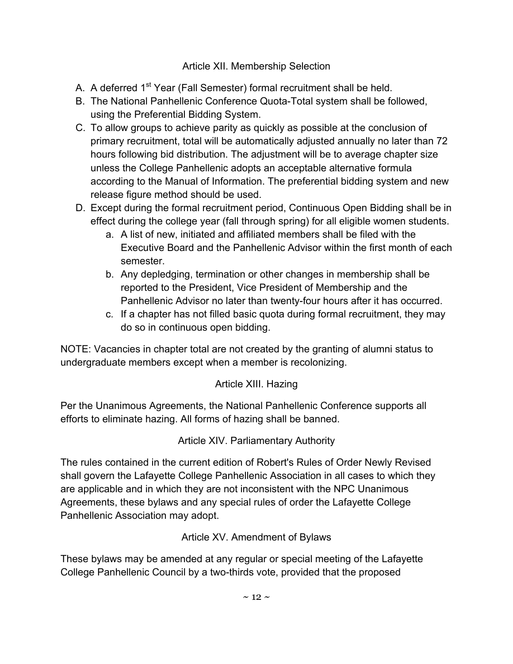## Article XII. Membership Selection

- A. A deferred 1<sup>st</sup> Year (Fall Semester) formal recruitment shall be held.
- B. The National Panhellenic Conference Quota-Total system shall be followed, using the Preferential Bidding System.
- C. To allow groups to achieve parity as quickly as possible at the conclusion of primary recruitment, total will be automatically adjusted annually no later than 72 hours following bid distribution. The adjustment will be to average chapter size unless the College Panhellenic adopts an acceptable alternative formula according to the Manual of Information. The preferential bidding system and new release figure method should be used.
- D. Except during the formal recruitment period, Continuous Open Bidding shall be in effect during the college year (fall through spring) for all eligible women students.
	- a. A list of new, initiated and affiliated members shall be filed with the Executive Board and the Panhellenic Advisor within the first month of each semester.
	- b. Any depledging, termination or other changes in membership shall be reported to the President, Vice President of Membership and the Panhellenic Advisor no later than twenty-four hours after it has occurred.
	- c. If a chapter has not filled basic quota during formal recruitment, they may do so in continuous open bidding.

NOTE: Vacancies in chapter total are not created by the granting of alumni status to undergraduate members except when a member is recolonizing.

# Article XIII. Hazing

Per the Unanimous Agreements, the National Panhellenic Conference supports all efforts to eliminate hazing. All forms of hazing shall be banned.

Article XIV. Parliamentary Authority

The rules contained in the current edition of Robert's Rules of Order Newly Revised shall govern the Lafayette College Panhellenic Association in all cases to which they are applicable and in which they are not inconsistent with the NPC Unanimous Agreements, these bylaws and any special rules of order the Lafayette College Panhellenic Association may adopt.

Article XV. Amendment of Bylaws

These bylaws may be amended at any regular or special meeting of the Lafayette College Panhellenic Council by a two-thirds vote, provided that the proposed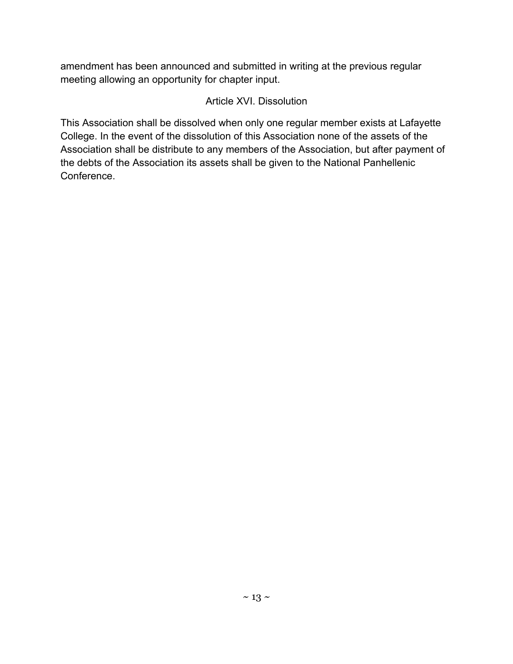amendment has been announced and submitted in writing at the previous regular meeting allowing an opportunity for chapter input.

## Article XVI. Dissolution

This Association shall be dissolved when only one regular member exists at Lafayette College. In the event of the dissolution of this Association none of the assets of the Association shall be distribute to any members of the Association, but after payment of the debts of the Association its assets shall be given to the National Panhellenic Conference.